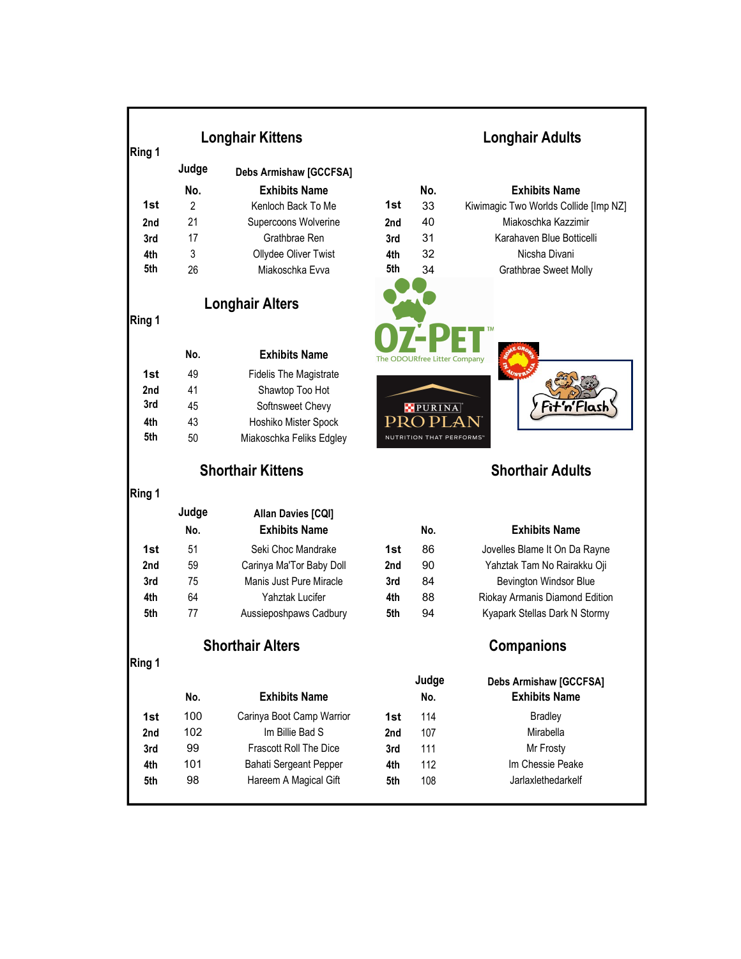| Ring 1 | <b>Longhair Kittens</b>  | <b>Longhair Adults</b>        |     |                                 |                                       |
|--------|--------------------------|-------------------------------|-----|---------------------------------|---------------------------------------|
|        | Judge                    | <b>Debs Armishaw [GCCFSA]</b> |     |                                 |                                       |
|        | No.                      | <b>Exhibits Name</b>          |     | No.                             | <b>Exhibits Name</b>                  |
| 1st    | $\overline{2}$           | Kenloch Back To Me            | 1st | 33                              | Kiwimagic Two Worlds Collide [Imp NZ] |
| 2nd    | 21                       | Supercoons Wolverine          | 2nd | 40                              | Miakoschka Kazzimir                   |
| 3rd    | 17                       | Grathbrae Ren                 | 3rd | 31                              | Karahaven Blue Botticelli             |
| 4th    | 3                        | Ollydee Oliver Twist          | 4th | 32                              | Nicsha Divani                         |
| 5th    | 26                       | Miakoschka Evva               | 5th | 34                              | Grathbrae Sweet Molly                 |
|        |                          |                               |     |                                 |                                       |
|        |                          | <b>Longhair Alters</b>        |     |                                 |                                       |
| Ring 1 |                          |                               |     |                                 |                                       |
|        |                          |                               |     |                                 |                                       |
|        | No.                      | <b>Exhibits Name</b>          |     |                                 |                                       |
| 1st    | 49                       | <b>Fidelis The Magistrate</b> |     | The ODOURfree Litter Company    |                                       |
| 2nd    | 41                       | Shawtop Too Hot               |     |                                 |                                       |
| 3rd    | 45                       | Softnsweet Chevy              |     |                                 |                                       |
| 4th    | 43                       | Hoshiko Mister Spock          | PR( | PURINA<br>ΡI<br>,               |                                       |
| 5th    | 50                       | Miakoschka Feliks Edgley      |     | <b>NUTRITION THAT PERFORMS"</b> |                                       |
|        |                          |                               |     |                                 |                                       |
|        | <b>Shorthair Kittens</b> |                               |     |                                 | <b>Shorthair Adults</b>               |
| Ring 1 |                          |                               |     |                                 |                                       |
|        | Judge                    | Allan Davies [CQI]            |     |                                 |                                       |
|        | No.                      | <b>Exhibits Name</b>          |     | No.                             | <b>Exhibits Name</b>                  |
| 1st    | 51                       | Seki Choc Mandrake            | 1st | 86                              | Jovelles Blame It On Da Rayne         |
| 2nd    | 59                       | Carinya Ma'Tor Baby Doll      | 2nd | 90                              | Yahztak Tam No Rairakku Oji           |
| 3rd    | 75                       | Manis Just Pure Miracle       | 3rd | 84                              | Bevington Windsor Blue                |
| 4th    | 64                       | Yahztak Lucifer               | 4th | 88                              | Riokay Armanis Diamond Edition        |
| 5th    | 77                       | Aussieposhpaws Cadbury        | 5th | 94                              | Kyapark Stellas Dark N Stormy         |
|        |                          |                               |     |                                 |                                       |
|        | <b>Shorthair Alters</b>  |                               |     |                                 | <b>Companions</b>                     |
| Ring 1 |                          |                               |     |                                 |                                       |
|        |                          |                               |     | Judge                           | <b>Debs Armishaw [GCCFSA]</b>         |
|        | No.                      | <b>Exhibits Name</b>          |     | No.                             | <b>Exhibits Name</b>                  |
| 1st    | 100                      | Carinya Boot Camp Warrior     | 1st | 114                             | <b>Bradley</b>                        |
| 2nd    | 102                      | Im Billie Bad S               | 2nd | 107                             | Mirabella                             |
| 3rd    | 99                       | Frascott Roll The Dice        | 3rd | 111                             | Mr Frosty                             |
| 4th    | 101                      | Bahati Sergeant Pepper        | 4th | 112                             | Im Chessie Peake                      |
| 5th    | 98                       | Hareem A Magical Gift         | 5th | 108                             | Jarlaxlethedarkelf                    |
|        |                          |                               |     |                                 |                                       |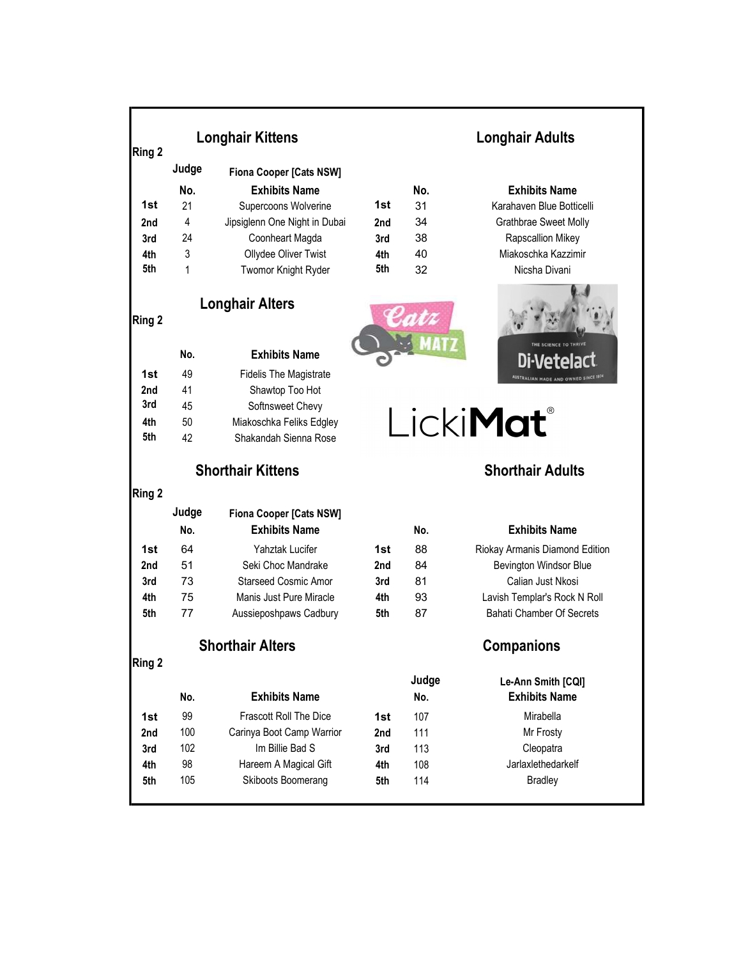|            |                         | <b>Longhair Kittens</b>        | <b>Longhair Adults</b> |                   |                                            |  |
|------------|-------------------------|--------------------------------|------------------------|-------------------|--------------------------------------------|--|
| Ring 2     |                         |                                |                        |                   |                                            |  |
|            | Judge                   | <b>Fiona Cooper [Cats NSW]</b> |                        |                   |                                            |  |
|            | No.                     | <b>Exhibits Name</b>           |                        | No.               | <b>Exhibits Name</b>                       |  |
| 1st        | 21                      | Supercoons Wolverine           | 1st                    | 31                | Karahaven Blue Botticelli                  |  |
| 2nd        | 4                       | Jipsiglenn One Night in Dubai  | 2nd                    | 34                | Grathbrae Sweet Molly                      |  |
| 3rd        | 24                      | Coonheart Magda                | 3rd                    | 38                | Rapscallion Mikey                          |  |
| 4th<br>5th | 3                       | Ollydee Oliver Twist           | 4th<br>5th             | 40                | Miakoschka Kazzimir                        |  |
|            | 1                       | Twomor Knight Ryder            |                        | 32                | Nicsha Divani                              |  |
| Ring 2     | <b>Longhair Alters</b>  |                                |                        |                   |                                            |  |
|            | No.                     | <b>Exhibits Name</b>           |                        |                   |                                            |  |
| 1st        | 49                      | <b>Fidelis The Magistrate</b>  |                        |                   | AUSTRALIAN MADE AND OWNED SINCE 1974       |  |
| 2nd        | 41                      | Shawtop Too Hot                |                        |                   |                                            |  |
| 3rd        | 45                      | Softnsweet Chevy               |                        |                   |                                            |  |
| 4th        | 50                      | Miakoschka Feliks Edgley       |                        |                   | Licki <b>Mat</b> ®                         |  |
| 5th        | 42                      | Shakandah Sienna Rose          |                        |                   |                                            |  |
|            |                         | <b>Shorthair Kittens</b>       |                        |                   | <b>Shorthair Adults</b>                    |  |
| Ring 2     |                         |                                |                        |                   |                                            |  |
|            | Judge                   | <b>Fiona Cooper [Cats NSW]</b> |                        |                   |                                            |  |
|            | No.                     | <b>Exhibits Name</b>           |                        | No.               | <b>Exhibits Name</b>                       |  |
| 1st        | 64                      | Yahztak Lucifer                | 1st                    | 88                | Riokay Armanis Diamond Edition             |  |
| 2nd        | 51                      | Seki Choc Mandrake             | 2nd                    | 84                | <b>Bevington Windsor Blue</b>              |  |
| 3rd        | 73                      | <b>Starseed Cosmic Amor</b>    | 3rd                    | 81                | Calian Just Nkosi                          |  |
| 4th        | 75                      | Manis Just Pure Miracle        | 4th                    | 93                | Lavish Templar's Rock N Roll               |  |
| 5th        | 77                      | Aussieposhpaws Cadbury         | 5th                    | 87                | <b>Bahati Chamber Of Secrets</b>           |  |
|            | <b>Shorthair Alters</b> |                                |                        | <b>Companions</b> |                                            |  |
| Ring 2     |                         |                                |                        |                   |                                            |  |
|            | No.                     | <b>Exhibits Name</b>           |                        | Judge<br>No.      | Le-Ann Smith [CQI]<br><b>Exhibits Name</b> |  |
|            |                         |                                |                        |                   |                                            |  |
| 1st        | 99                      | <b>Frascott Roll The Dice</b>  | 1st                    | 107               | Mirabella                                  |  |
| 2nd        | 100                     | Carinya Boot Camp Warrior      | 2nd                    | 111               | Mr Frosty                                  |  |
| 3rd        | 102                     | Im Billie Bad S                | 3rd                    | 113               | Cleopatra                                  |  |
| 4th        | 98                      | Hareem A Magical Gift          | 4th                    | 108               | Jarlaxlethedarkelf                         |  |
| 5th        | 105                     | Skiboots Boomerang             | 5th                    | 114               | <b>Bradley</b>                             |  |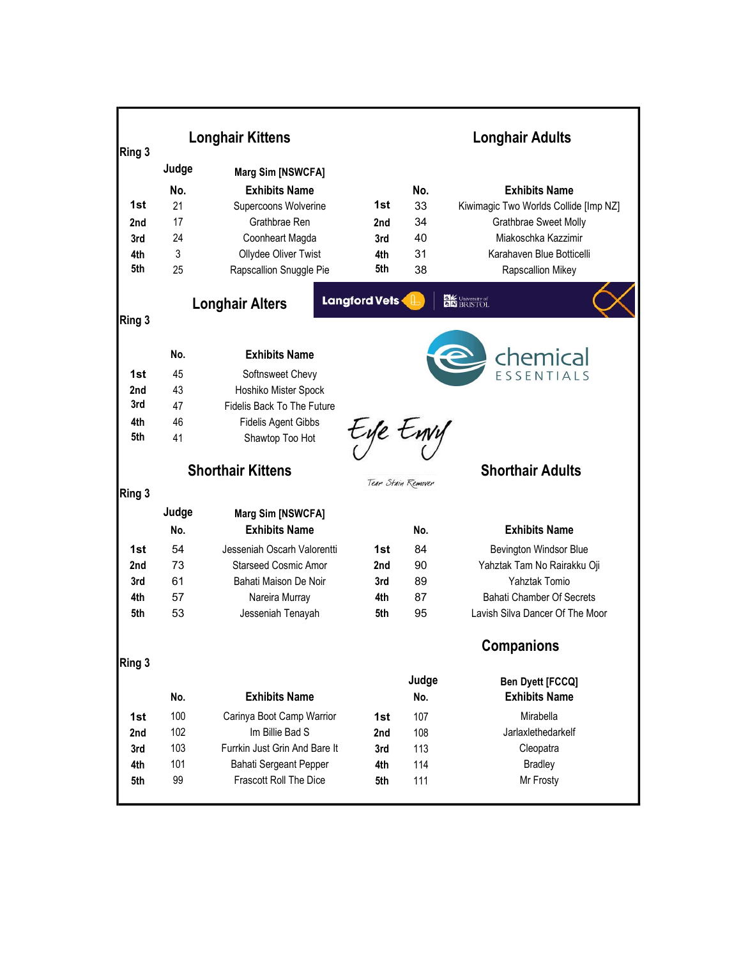|                 |          | <b>Longhair Kittens</b>                              |                      | <b>Longhair Adults</b> |                                                 |  |
|-----------------|----------|------------------------------------------------------|----------------------|------------------------|-------------------------------------------------|--|
| Ring 3          |          |                                                      |                      |                        |                                                 |  |
|                 | Judge    | Marg Sim [NSWCFA]                                    |                      |                        |                                                 |  |
|                 | No.      | <b>Exhibits Name</b>                                 |                      | No.                    | <b>Exhibits Name</b>                            |  |
| 1st             | 21       | Supercoons Wolverine                                 | 1st                  | 33                     | Kiwimagic Two Worlds Collide [Imp NZ]           |  |
| 2 <sub>nd</sub> | 17       | Grathbrae Ren                                        | 2nd                  | 34                     | Grathbrae Sweet Molly                           |  |
| 3rd             | 24       | Coonheart Magda                                      | 3rd                  | 40                     | Miakoschka Kazzimir                             |  |
| 4th             | 3        | Ollydee Oliver Twist                                 | 4th                  | 31                     | Karahaven Blue Botticelli                       |  |
| 5th             | 25       | Rapscallion Snuggle Pie                              | 5th                  | 38                     | Rapscallion Mikey                               |  |
|                 |          | <b>Longhair Alters</b>                               | <b>Langford Vets</b> |                        | <b>DK</b> University of                         |  |
| Ring 3          |          |                                                      |                      |                        |                                                 |  |
|                 |          |                                                      |                      |                        |                                                 |  |
|                 | No.      | <b>Exhibits Name</b>                                 |                      |                        |                                                 |  |
| 1st             | 45       | Softnsweet Chevy                                     |                      |                        | <b>Chemical</b>                                 |  |
| 2nd             | 43       | Hoshiko Mister Spock                                 |                      |                        |                                                 |  |
| 3rd             | 47       | Fidelis Back To The Future                           |                      |                        |                                                 |  |
| 4th             | 46       | <b>Fidelis Agent Gibbs</b>                           |                      |                        |                                                 |  |
| 5th             | 41       | Shawtop Too Hot                                      | tyle tury            |                        |                                                 |  |
|                 |          |                                                      |                      |                        |                                                 |  |
|                 |          | <b>Shorthair Kittens</b>                             |                      |                        | <b>Shorthair Adults</b>                         |  |
| Ring 3          |          |                                                      |                      | Tear Stain Remover     |                                                 |  |
|                 | Judge    | <b>Marg Sim [NSWCFA]</b>                             |                      |                        |                                                 |  |
|                 | No.      | <b>Exhibits Name</b>                                 |                      | No.                    | <b>Exhibits Name</b>                            |  |
|                 |          |                                                      |                      |                        |                                                 |  |
| 1st             | 54<br>73 | Jesseniah Oscarh Valorentti                          | 1st                  | 84<br>90               | <b>Bevington Windsor Blue</b>                   |  |
| 2nd<br>3rd      | 61       | <b>Starseed Cosmic Amor</b><br>Bahati Maison De Noir | 2nd                  | 89                     | Yahztak Tam No Rairakku Oji<br>Yahztak Tomio    |  |
| 4th             | 57       | Nareira Murray                                       | 3rd<br>4th           | 87                     | <b>Bahati Chamber Of Secrets</b>                |  |
| 5th             | 53       | Jesseniah Tenayah                                    | 5th                  | 95                     | Lavish Silva Dancer Of The Moor                 |  |
|                 |          |                                                      |                      |                        |                                                 |  |
|                 |          |                                                      |                      |                        | <b>Companions</b>                               |  |
| Ring 3          |          |                                                      |                      |                        |                                                 |  |
|                 | No.      | <b>Exhibits Name</b>                                 |                      | Judge<br>No.           | <b>Ben Dyett [FCCQ]</b><br><b>Exhibits Name</b> |  |
| 1st             | 100      | Carinya Boot Camp Warrior                            | 1st                  | 107                    | Mirabella                                       |  |
| 2nd             | 102      | Im Billie Bad S                                      | 2nd                  | 108                    | Jarlaxlethedarkelf                              |  |
| 3rd             | 103      | Furrkin Just Grin And Bare It                        | 3rd                  | 113                    | Cleopatra                                       |  |
| 4th             | 101      | Bahati Sergeant Pepper                               | 4th                  | 114                    | <b>Bradley</b>                                  |  |
| 5th             | 99       | Frascott Roll The Dice                               | 5th                  | 111                    | Mr Frosty                                       |  |